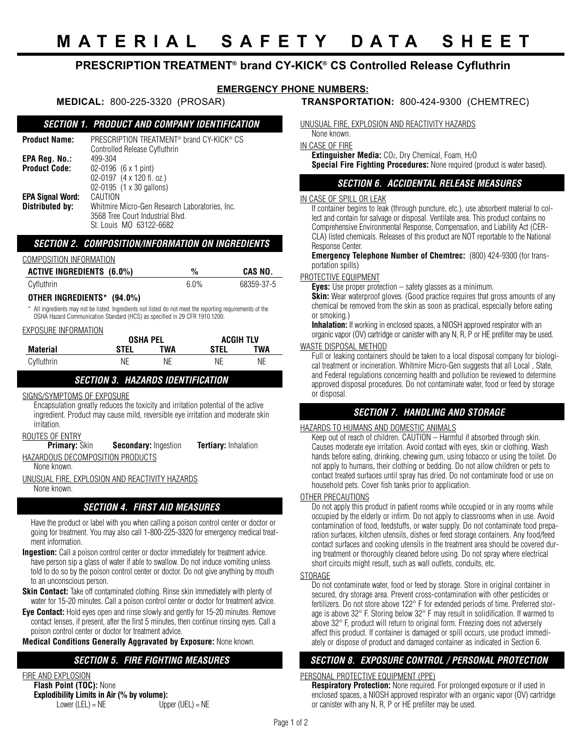## **PRESCRIPTION TREATMENT® brand CY-KICK® CS Controlled Release Cyfluthrin**

## **EMERGENCY PHONE NUMBERS:**

## **MEDICAL:** 800-225-3320 (PROSAR) **TRANSPORTATION:** 800-424-9300 (CHEMTREC)

## **SECTION 1. PRODUCT AND COMPANY IDENTIFICATION**

| Product Name:        | PRESCRIPTION TREATMENT <sup>®</sup> brand CY-KICK <sup>®</sup> CS |  |  |
|----------------------|-------------------------------------------------------------------|--|--|
|                      | Controlled Release Cyfluthrin                                     |  |  |
| EPA Reg. No.:        | 499-304                                                           |  |  |
| <b>Product Code:</b> | $02-0196$ (6 x 1 pint)                                            |  |  |
|                      | 02-0197 (4 x 120 fl. oz.)                                         |  |  |
|                      | 02-0195 (1 x 30 gallons)                                          |  |  |
| EPA Signal Word:     | CAUTION                                                           |  |  |
| Distributed by:      | Whitmire Micro-Gen Research Laboratories, Inc.                    |  |  |
|                      | 3568 Tree Court Industrial Blvd.                                  |  |  |
|                      | St. Louis MO 63122-6682                                           |  |  |

### **SECTION 2. COMPOSITION/INFORMATION ON INGREDIENTS**

| COMPOSITION INFORMATION          |      |            |
|----------------------------------|------|------------|
| <b>ACTIVE INGREDIENTS (6.0%)</b> | $\%$ | CAS NO.    |
| Cyfluthrin                       | 6.0% | 68359-37-5 |

#### **OTHER INGREDIENTS\* (94.0%)**

All ingredients may not be listed. Ingredients not listed do not meet the reporting requirements of the OSHA Hazard Communication Standard (HCS) as specified in 29 CFR 1910.1200.

#### EXPOSURE INFORMATION

|                 |      | <b>OSHA PEL</b> |      | <b>ACGIH TLV</b> |
|-----------------|------|-----------------|------|------------------|
| <b>Material</b> | STEL | TWA             | STEL | TWA              |
| Cyfluthrin      | NE.  | NE.             | NE   | NE               |

### **SECTION 3. HAZARDS IDENTIFICATION**

#### SIGNS/SYMPTOMS OF EXPOSURE

Encapsulation greatly reduces the toxicity and irritation potential of the active ingredient. Product may cause mild, reversible eye irritation and moderate skin irritation.

```
ROUTES OF ENTRY
```
**Primary:** Skin **Secondary:** Ingestion **Tertiary:** Inhalation

## HAZARDOUS DECOMPOSITION PRODUCTS

None known.

UNUSUAL FIRE, EXPLOSION AND REACTIVITY HAZARDS None known.

## **SECTION 4. FIRST AID MEASURES**

Have the product or label with you when calling a poison control center or doctor or going for treatment. You may also call 1-800-225-3320 for emergency medical treatment information.

**Ingestion:** Call a poison control center or doctor immediately for treatment advice. have person sip a glass of water if able to swallow. Do not induce vomiting unless told to do so by the poison control center or doctor. Do not give anything by mouth to an unconscious person.

**Skin Contact:** Take off contaminated clothing. Rinse skin immediately with plenty of water for 15-20 minutes. Call a poison control center or doctor for treatment advice.

**Eye Contact:** Hold eyes open and rinse slowly and gently for 15-20 minutes. Remove contact lenses, if present, after the first 5 minutes, then continue rinsing eyes. Call a poison control center or doctor for treatment advice.

**Medical Conditions Generally Aggravated by Exposure:** None known.

## **SECTION 5. FIRE FIGHTING MEASURES**

#### FIRE AND EXPLOSION **Flash Point (TOC):** None **Explodibility Limits in Air (% by volume):**<br>Lower (LEL) = NE UDD  $Upper (UEL) = NE$

UNUSUAL FIRE, EXPLOSION AND REACTIVITY HAZARDS

None known. IN CASE OF FIRE

**Extinguisher Media:** CO2, Dry Chemical, Foam, H2O

**Special Fire Fighting Procedures:** None required (product is water based).

### **SECTION 6. ACCIDENTAL RELEASE MEASURES**

## IN CASE OF SPILL OR LEAK

If container begins to leak (through puncture, etc.), use absorbent material to collect and contain for salvage or disposal. Ventilate area. This product contains no Comprehensive Environmental Response, Compensation, and Liability Act (CER-CLA) listed chemicals. Releases of this product are NOT reportable to the National Response Center.

**Emergency Telephone Number of Chemtrec:** (800) 424-9300 (for transportation spills)

#### PROTECTIVE EQUIPMENT

**Eyes:** Use proper protection – safety glasses as a minimum. **Skin:** Wear waterproof gloves. (Good practice requires that gross amounts of any chemical be removed from the skin as soon as practical, especially before eating or smoking.)

**Inhalation:** If working in enclosed spaces, a NIOSH approved respirator with an organic vapor (OV) cartridge or canister with any N, R, P or HE prefilter may be used.

## WASTE DISPOSAL METHOD

Full or leaking containers should be taken to a local disposal company for biological treatment or incineration. Whitmire Micro-Gen suggests that all Local , State, and Federal regulations concerning health and pollution be reviewed to determine approved disposal procedures. Do not contaminate water, food or feed by storage or disposal.

## **SECTION 7. HANDLING AND STORAGE**

## HAZARDS TO HUMANS AND DOMESTIC ANIMALS

Keep out of reach of children. CAUTION – Harmful if absorbed through skin. Causes moderate eye irritation. Avoid contact with eyes, skin or clothing. Wash hands before eating, drinking, chewing gum, using tobacco or using the toilet. Do not apply to humans, their clothing or bedding. Do not allow children or pets to contact treated surfaces until spray has dried. Do not contaminate food or use on household pets. Cover fish tanks prior to application.

### OTHER PRECAUTIONS

Do not apply this product in patient rooms while occupied or in any rooms while occupied by the elderly or infirm. Do not apply to classrooms when in use. Avoid contamination of food, feedstuffs, or water supply. Do not contaminate food preparation surfaces, kitchen utensils, dishes or feed storage containers. Any food/feed contact surfaces and cooking utensils in the treatment area should be covered during treatment or thoroughly cleaned before using. Do not spray where electrical short circuits might result, such as wall outlets, conduits, etc.

#### **STORAGE**

Do not contaminate water, food or feed by storage. Store in original container in secured, dry storage area. Prevent cross-contamination with other pesticides or fertilizers. Do not store above 122° F for extended periods of time. Preferred storage is above 32° F. Storing below 32° F may result in solidification. If warmed to above 32° F, product will return to original form. Freezing does not adversely affect this product. If container is damaged or spill occurs, use product immediately or dispose of product and damaged container as indicated in Section 6.

## **SECTION 8. EXPOSURE CONTROL / PERSONAL PROTECTION**

### PERSONAL PROTECTIVE EQUIPMENT (PPE)

**Respiratory Protection:** None required. For prolonged exposure or if used in enclosed spaces, a NIOSH approved respirator with an organic vapor (OV) cartridge or canister with any N, R, P or HE prefilter may be used.